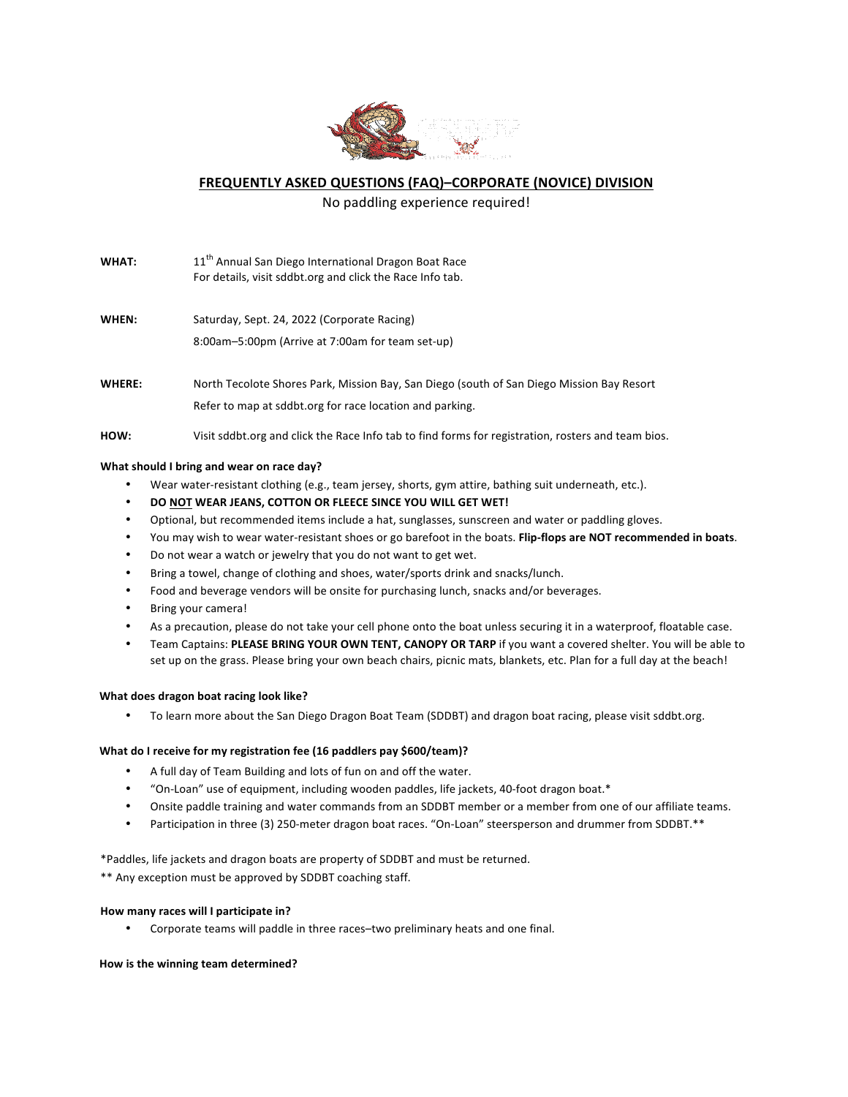

**FREQUENTLY ASKED QUESTIONS (FAQ)-CORPORATE (NOVICE) DIVISION** 

No paddling experience required!

- **WHAT:** 11<sup>th</sup> Annual San Diego International Dragon Boat Race For details, visit sddbt.org and click the Race Info tab.
- WHEN: Saturday, Sept. 24, 2022 (Corporate Racing) 8:00am–5:00pm (Arrive at 7:00am for team set-up)
- WHERE: North Tecolote Shores Park, Mission Bay, San Diego (south of San Diego Mission Bay Resort Refer to map at sddbt.org for race location and parking.
- HOW: Visit sddbt.org and click the Race Info tab to find forms for registration, rosters and team bios.

## **What should I bring and wear on race day?**

- Wear water-resistant clothing (e.g., team jersey, shorts, gym attire, bathing suit underneath, etc.).
- **DO NOT WEAR JEANS, COTTON OR FLEECE SINCE YOU WILL GET WET!**
- Optional, but recommended items include a hat, sunglasses, sunscreen and water or paddling gloves.
- You may wish to wear water-resistant shoes or go barefoot in the boats. **Flip-flops are NOT recommended in boats**.
- Do not wear a watch or jewelry that you do not want to get wet.
- Bring a towel, change of clothing and shoes, water/sports drink and snacks/lunch.
- Food and beverage vendors will be onsite for purchasing lunch, snacks and/or beverages.
- Bring your camera!
- As a precaution, please do not take your cell phone onto the boat unless securing it in a waterproof, floatable case.
- Team Captains: PLEASE BRING YOUR OWN TENT, CANOPY OR TARP if you want a covered shelter. You will be able to set up on the grass. Please bring your own beach chairs, picnic mats, blankets, etc. Plan for a full day at the beach!

#### **What does dragon boat racing look like?**

To learn more about the San Diego Dragon Boat Team (SDDBT) and dragon boat racing, please visit sddbt.org.

#### **What do I receive for my registration fee (16 paddlers pay \$600/team)?**

- A full day of Team Building and lots of fun on and off the water.
- "On-Loan" use of equipment, including wooden paddles, life jackets, 40-foot dragon boat.\*
- Onsite paddle training and water commands from an SDDBT member or a member from one of our affiliate teams.
- Participation in three (3) 250-meter dragon boat races. "On-Loan" steersperson and drummer from SDDBT.\*\*

\*Paddles, life jackets and dragon boats are property of SDDBT and must be returned.

\*\* Any exception must be approved by SDDBT coaching staff.

# How many races will I participate in?

Corporate teams will paddle in three races-two preliminary heats and one final.

How is the winning team determined?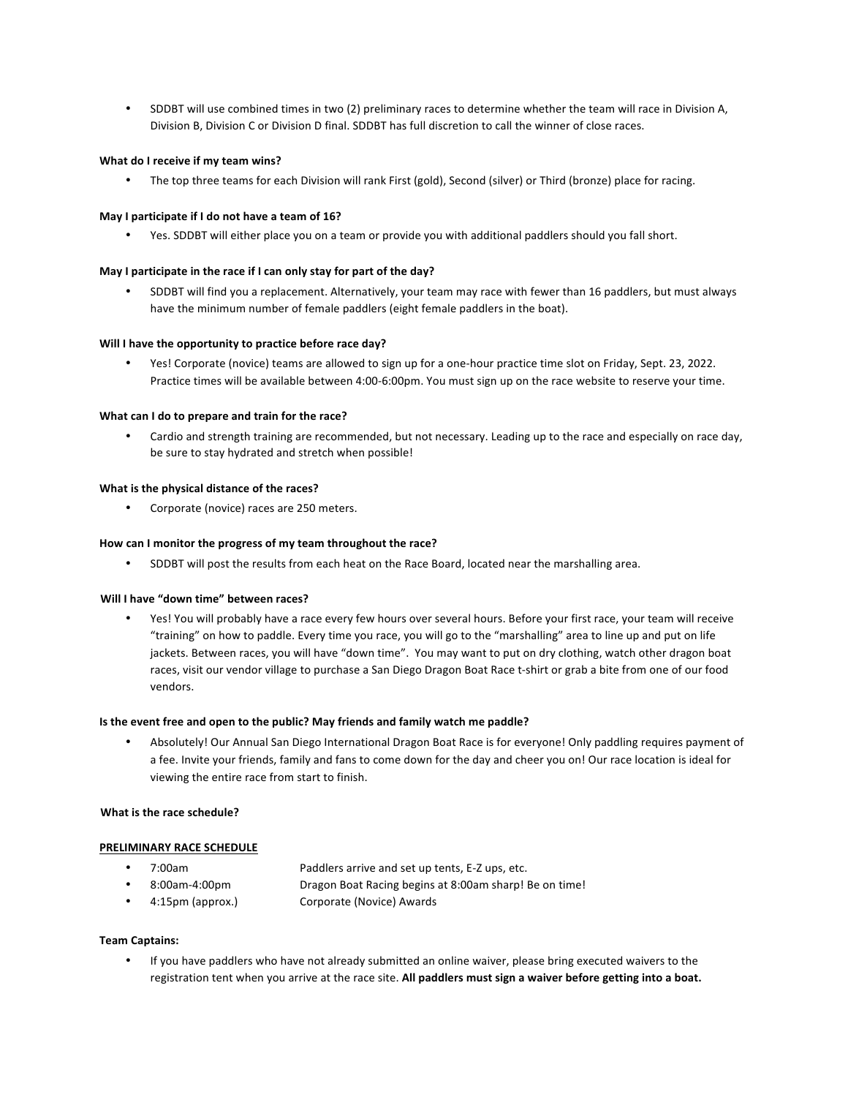SDDBT will use combined times in two (2) preliminary races to determine whether the team will race in Division A, Division B, Division C or Division D final. SDDBT has full discretion to call the winner of close races.

## **What do I receive if my team wins?**

• The top three teams for each Division will rank First (gold), Second (silver) or Third (bronze) place for racing.

## May I participate if I do not have a team of 16?

Yes. SDDBT will either place you on a team or provide you with additional paddlers should you fall short.

## May I participate in the race if I can only stay for part of the day?

SDDBT will find you a replacement. Alternatively, your team may race with fewer than 16 paddlers, but must always have the minimum number of female paddlers (eight female paddlers in the boat).

#### Will I have the opportunity to practice before race day?

Yes! Corporate (novice) teams are allowed to sign up for a one-hour practice time slot on Friday, Sept. 23, 2022. Practice times will be available between 4:00-6:00pm. You must sign up on the race website to reserve your time.

#### **What can I do to prepare and train for the race?**

Cardio and strength training are recommended, but not necessary. Leading up to the race and especially on race day, be sure to stay hydrated and stretch when possible!

#### **What is the physical distance of the races?**

Corporate (novice) races are 250 meters.

#### How can I monitor the progress of my team throughout the race?

• SDDBT will post the results from each heat on the Race Board, located near the marshalling area.

## **Will I have "down time" between races?**

Yes! You will probably have a race every few hours over several hours. Before your first race, your team will receive "training" on how to paddle. Every time you race, you will go to the "marshalling" area to line up and put on life jackets. Between races, you will have "down time". You may want to put on dry clothing, watch other dragon boat races, visit our vendor village to purchase a San Diego Dragon Boat Race t-shirt or grab a bite from one of our food vendors.

#### **Is the event free and open to the public? May friends and family watch me paddle?**

Absolutely! Our Annual San Diego International Dragon Boat Race is for everyone! Only paddling requires payment of a fee. Invite your friends, family and fans to come down for the day and cheer you on! Our race location is ideal for viewing the entire race from start to finish.

#### **What is the race schedule?**

#### **PRELIMINARY RACE SCHEDULE**

|  | 7:00am | Paddlers arrive and set up tents, E-Z ups, etc. |
|--|--------|-------------------------------------------------|
|--|--------|-------------------------------------------------|

- 8:00am-4:00pm Dragon Boat Racing begins at 8:00am sharp! Be on time!
- 4:15pm (approx.) Corporate (Novice) Awards

#### **Team Captains:**

• If you have paddlers who have not already submitted an online waiver, please bring executed waivers to the registration tent when you arrive at the race site. All paddlers must sign a waiver before getting into a boat.